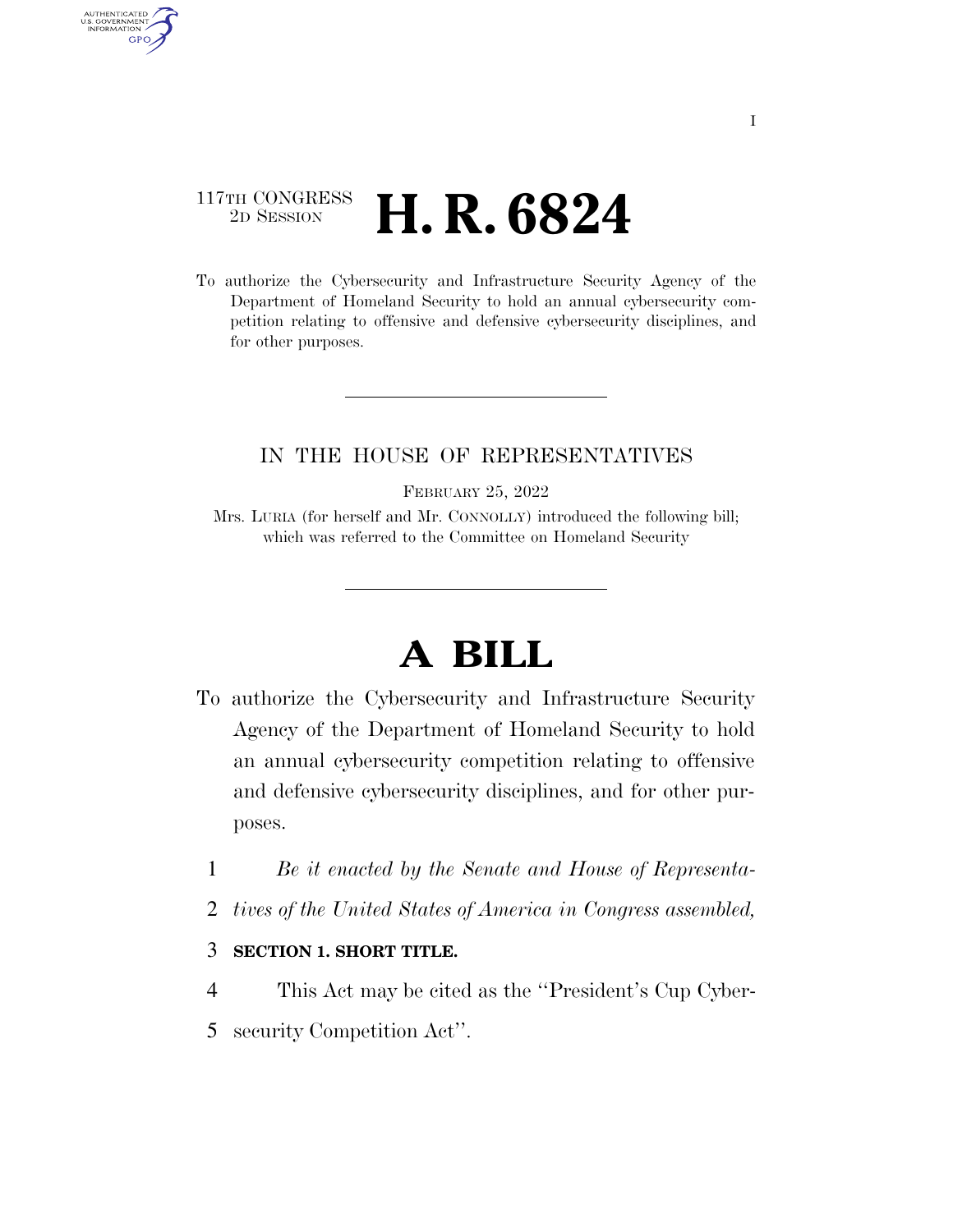## 117TH CONGRESS <sup>2D SESSION</sup> **H. R. 6824**

AUTHENTICATED<br>U.S. GOVERNMENT<br>INFORMATION

**GPO** 

To authorize the Cybersecurity and Infrastructure Security Agency of the Department of Homeland Security to hold an annual cybersecurity competition relating to offensive and defensive cybersecurity disciplines, and for other purposes.

### IN THE HOUSE OF REPRESENTATIVES

FEBRUARY 25, 2022

Mrs. LURIA (for herself and Mr. CONNOLLY) introduced the following bill; which was referred to the Committee on Homeland Security

# **A BILL**

- To authorize the Cybersecurity and Infrastructure Security Agency of the Department of Homeland Security to hold an annual cybersecurity competition relating to offensive and defensive cybersecurity disciplines, and for other purposes.
	- 1 *Be it enacted by the Senate and House of Representa-*
	- 2 *tives of the United States of America in Congress assembled,*

### 3 **SECTION 1. SHORT TITLE.**

- 4 This Act may be cited as the ''President's Cup Cyber-
- 5 security Competition Act''.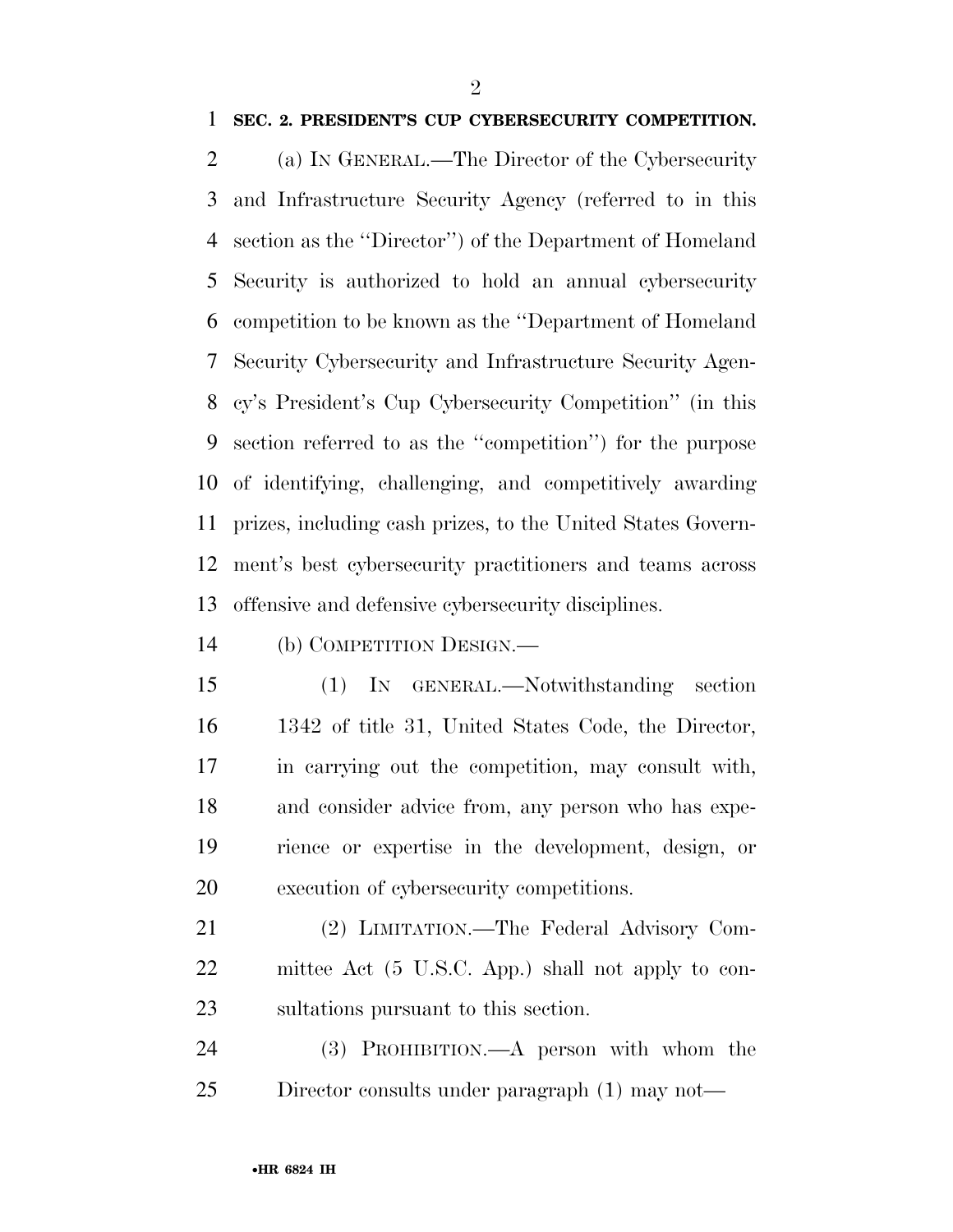#### **SEC. 2. PRESIDENT'S CUP CYBERSECURITY COMPETITION.**

 (a) IN GENERAL.—The Director of the Cybersecurity and Infrastructure Security Agency (referred to in this section as the ''Director'') of the Department of Homeland Security is authorized to hold an annual cybersecurity competition to be known as the ''Department of Homeland Security Cybersecurity and Infrastructure Security Agen- cy's President's Cup Cybersecurity Competition'' (in this section referred to as the ''competition'') for the purpose of identifying, challenging, and competitively awarding prizes, including cash prizes, to the United States Govern- ment's best cybersecurity practitioners and teams across offensive and defensive cybersecurity disciplines.

(b) COMPETITION DESIGN.—

 (1) IN GENERAL.—Notwithstanding section 1342 of title 31, United States Code, the Director, in carrying out the competition, may consult with, and consider advice from, any person who has expe- rience or expertise in the development, design, or execution of cybersecurity competitions.

 (2) LIMITATION.—The Federal Advisory Com- mittee Act (5 U.S.C. App.) shall not apply to con-sultations pursuant to this section.

 (3) PROHIBITION.—A person with whom the Director consults under paragraph (1) may not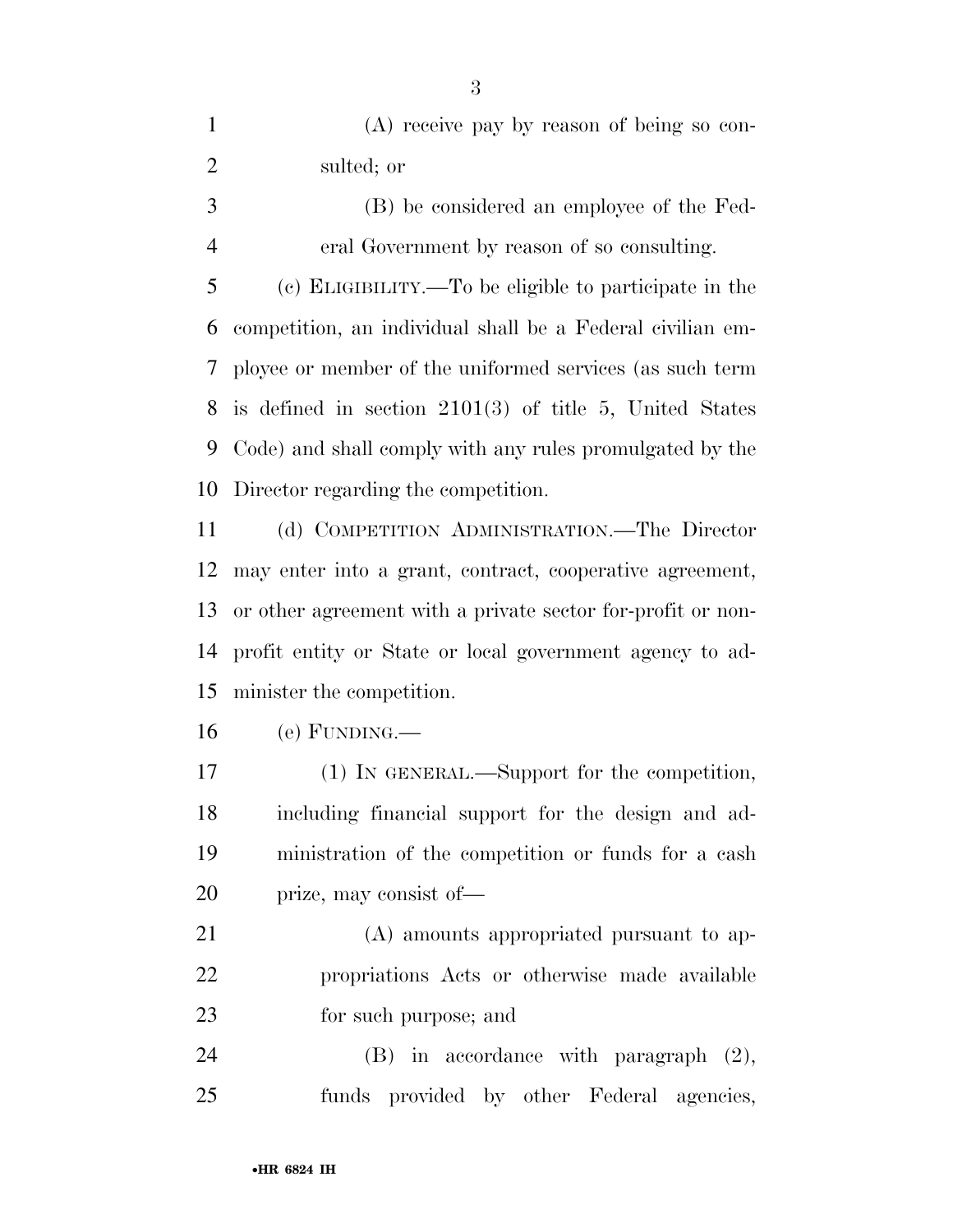(A) receive pay by reason of being so con-sulted; or

 (B) be considered an employee of the Fed-eral Government by reason of so consulting.

 (c) ELIGIBILITY.—To be eligible to participate in the competition, an individual shall be a Federal civilian em- ployee or member of the uniformed services (as such term is defined in section 2101(3) of title 5, United States Code) and shall comply with any rules promulgated by the Director regarding the competition.

 (d) COMPETITION ADMINISTRATION.—The Director may enter into a grant, contract, cooperative agreement, or other agreement with a private sector for-profit or non- profit entity or State or local government agency to ad-minister the competition.

(e) FUNDING.—

 (1) IN GENERAL.—Support for the competition, including financial support for the design and ad- ministration of the competition or funds for a cash prize, may consist of—

 (A) amounts appropriated pursuant to ap- propriations Acts or otherwise made available for such purpose; and

 (B) in accordance with paragraph (2), funds provided by other Federal agencies,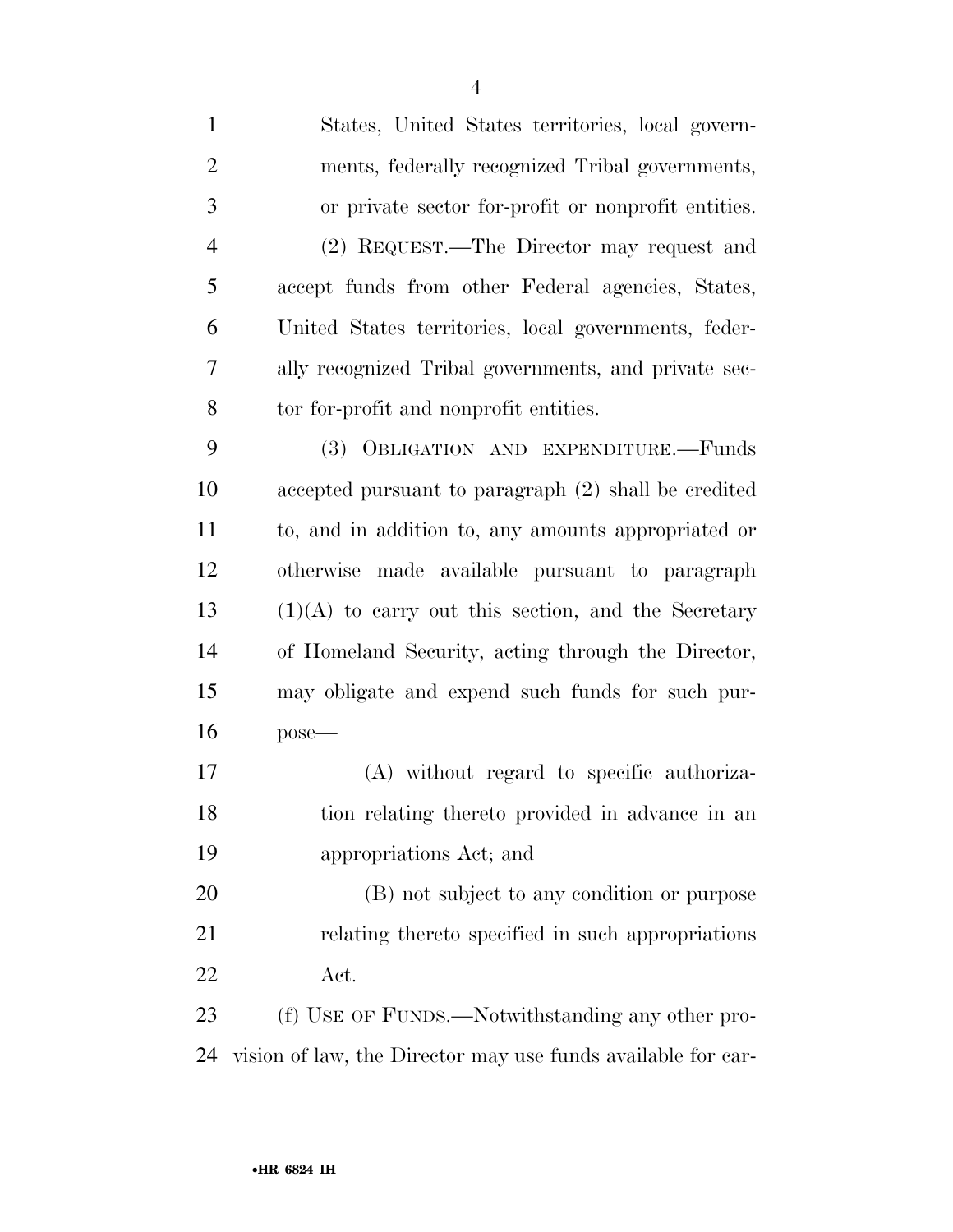| $\mathbf{1}$   | States, United States territories, local govern-             |
|----------------|--------------------------------------------------------------|
| $\overline{2}$ | ments, federally recognized Tribal governments,              |
| 3              | or private sector for-profit or nonprofit entities.          |
| $\overline{4}$ | (2) REQUEST.—The Director may request and                    |
| 5              | accept funds from other Federal agencies, States,            |
| 6              | United States territories, local governments, feder-         |
| 7              | ally recognized Tribal governments, and private sec-         |
| 8              | tor for-profit and nonprofit entities.                       |
| 9              | (3) OBLIGATION AND EXPENDITURE.-Funds                        |
| 10             | accepted pursuant to paragraph (2) shall be credited         |
| 11             | to, and in addition to, any amounts appropriated or          |
| 12             | otherwise made available pursuant to paragraph               |
| 13             | $(1)(A)$ to carry out this section, and the Secretary        |
| 14             | of Homeland Security, acting through the Director,           |
| 15             | may obligate and expend such funds for such pur-             |
| 16             | $pose$ —                                                     |
| 17             | (A) without regard to specific authoriza-                    |
| 18             | tion relating thereto provided in advance in an              |
| 19             | appropriations Act; and                                      |
| 20             | (B) not subject to any condition or purpose                  |
| 21             | relating thereto specified in such appropriations            |
| 22             | Act.                                                         |
| 23             | (f) USE OF FUNDS.—Notwithstanding any other pro-             |
| 24             | vision of law, the Director may use funds available for car- |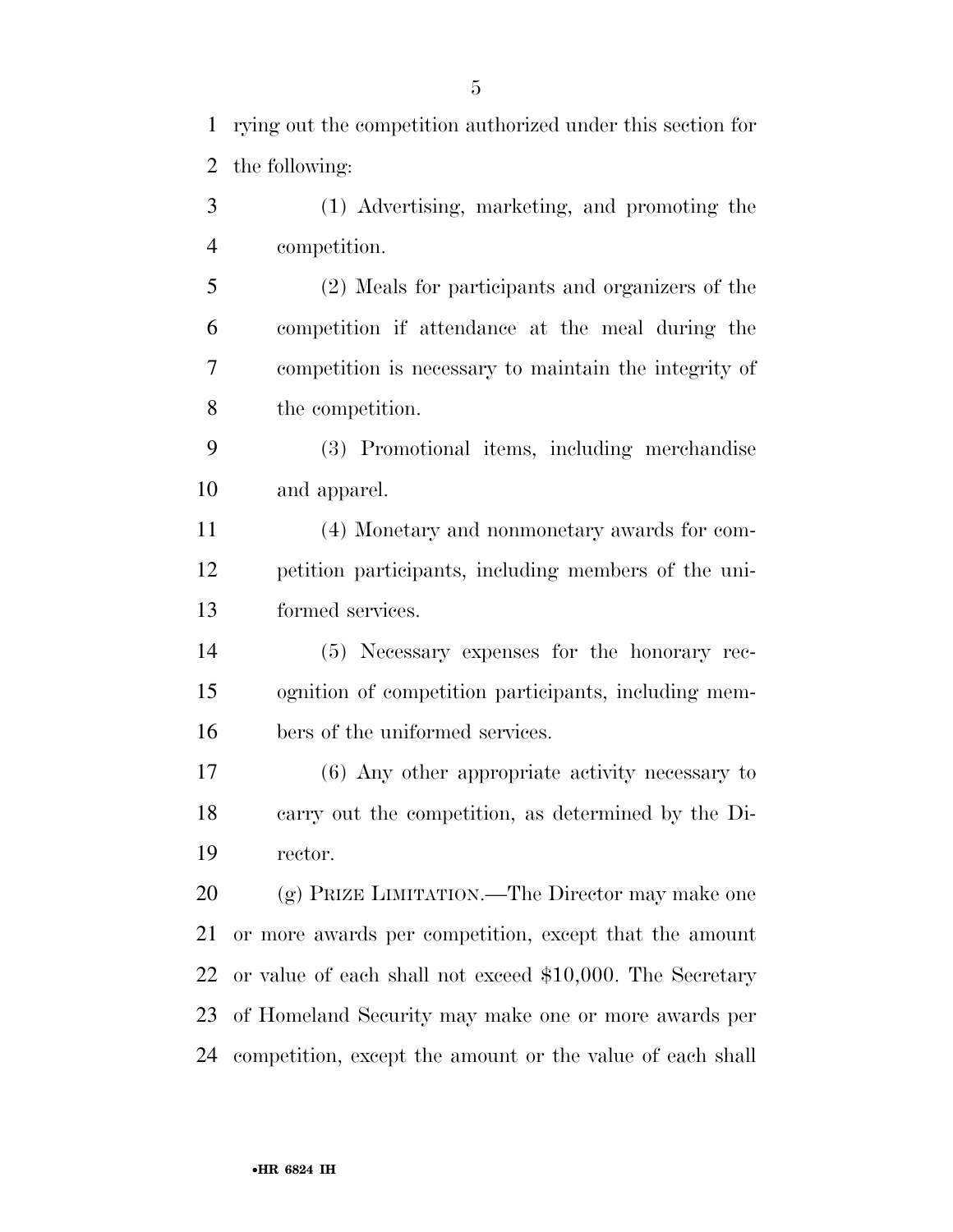(1) Advertising, marketing, and promoting the competition.

 (2) Meals for participants and organizers of the competition if attendance at the meal during the competition is necessary to maintain the integrity of the competition.

 (3) Promotional items, including merchandise and apparel.

 (4) Monetary and nonmonetary awards for com- petition participants, including members of the uni-formed services.

 (5) Necessary expenses for the honorary rec- ognition of competition participants, including mem-bers of the uniformed services.

 (6) Any other appropriate activity necessary to carry out the competition, as determined by the Di-rector.

20 (g) PRIZE LIMITATION.—The Director may make one or more awards per competition, except that the amount or value of each shall not exceed \$10,000. The Secretary of Homeland Security may make one or more awards per competition, except the amount or the value of each shall